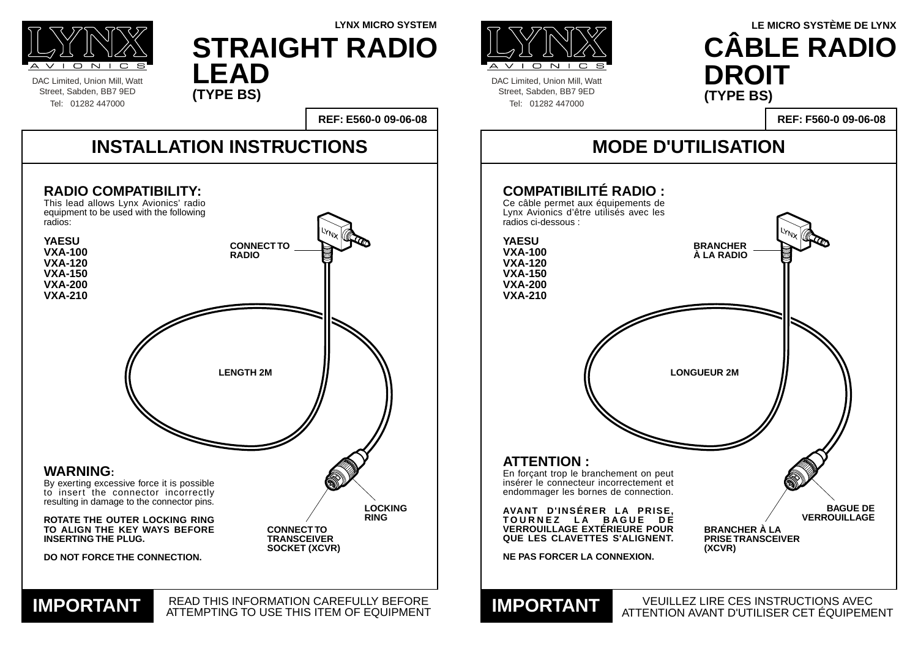DAC Limited, Union Mill, Watt Street, Sabden, BB7 9ED Tel: 01282 447000



DAC Limited, Union Mill, Watt Street, Sabden, BB7 9ED Tel: 01282 447000

**REF: E560-0 09-06-08**

#### **MODE D'UTILISATION**

#### **RADIO COMPATIBILITY:** This lead allows Lynx Avionics' radio equipment to be used with the following radios: **YAESU VXA-100 VXA-120 VXA-150 VXA-200 VXA-210 WARNING:** By exerting excessive force it is possible to insert the connector incorrectly resulting in damage to the connector pins. **ROTATE THE OUTER LOCKING RING TO ALIGN THE KEY WAYS BEFORE INSERTING THE PLUG. DO NOT FORCE THE CONNECTION. INSTALLATION INSTRUCTIONS** READ THIS INFORMATION CAREFULLY BEFORE **IMPORTANT READ THIS INFORMATION CAREFULLY BEFORE CONNECT TO RADIO LOCKING RING CONNECT TO TRANSCEIVER SOCKET (XCVR)**



**REF: F560-0 09-06-08**



#### **LYNX MICRO SYSTEM LE MICRO SYSTÈME DE LYNX CÂBLE RADIO DROIT (TYPE BS)**

## **STRAIGHT RADIO LEAD**